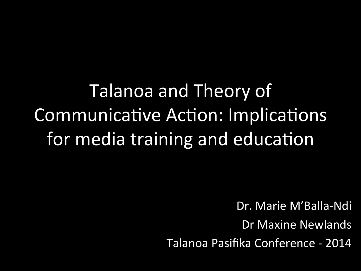Talanoa and Theory of Communicative Action: Implications for media training and education

Dr. Marie M'Balla-Ndi

Dr Maxine Newlands

Talanoa Pasifika Conference - 2014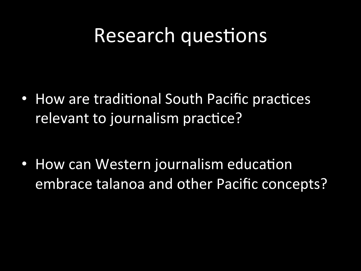#### Research questions

• How are traditional South Pacific practices relevant to journalism practice?

• How can Western journalism education embrace talanoa and other Pacific concepts?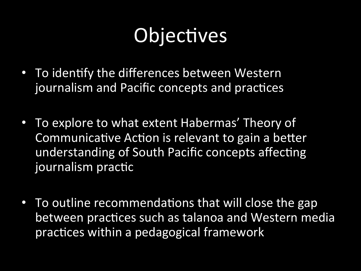# Objectives

- To identify the differences between Western journalism and Pacific concepts and practices
- To explore to what extent Habermas' Theory of Communicative Action is relevant to gain a better understanding of South Pacific concepts affecting journalism practic
- To outline recommendations that will close the gap between practices such as talanoa and Western media practices within a pedagogical framework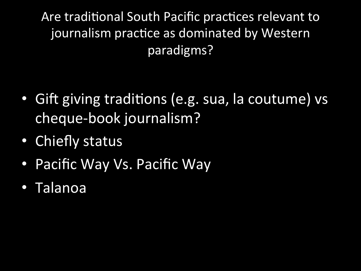Are traditional South Pacific practices relevant to journalism practice as dominated by Western paradigms? 

- Gift giving traditions (e.g. sua, la coutume) vs cheque-book journalism?
- Chiefly status
- Pacific Way Vs. Pacific Way
- Talanoa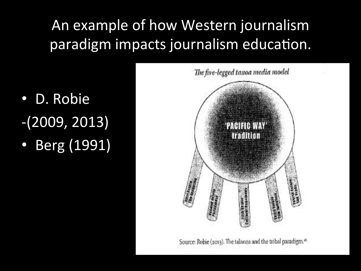#### An example of how Western journalism paradigm impacts journalism education.

- D. Robie  $-(2009, 2013)$
- Berg (1991)



Source: Robie (2013). The talanoa and the tribal paradigm.<sup>46</sup>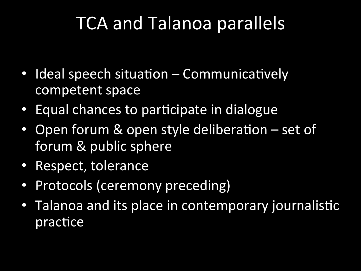### TCA and Talanoa parallels

- Ideal speech situation Communicatively competent space
- Equal chances to participate in dialogue
- Open forum & open style deliberation set of forum & public sphere
- Respect, tolerance
- Protocols (ceremony preceding)
- Talanoa and its place in contemporary journalistic practice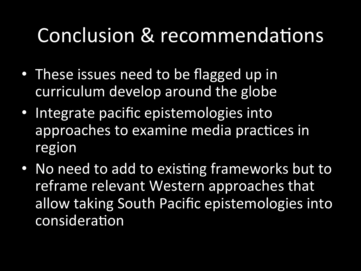## Conclusion & recommendations

- These issues need to be flagged up in curriculum develop around the globe
- Integrate pacific epistemologies into approaches to examine media practices in region
- No need to add to existing frameworks but to reframe relevant Western approaches that allow taking South Pacific epistemologies into consideration